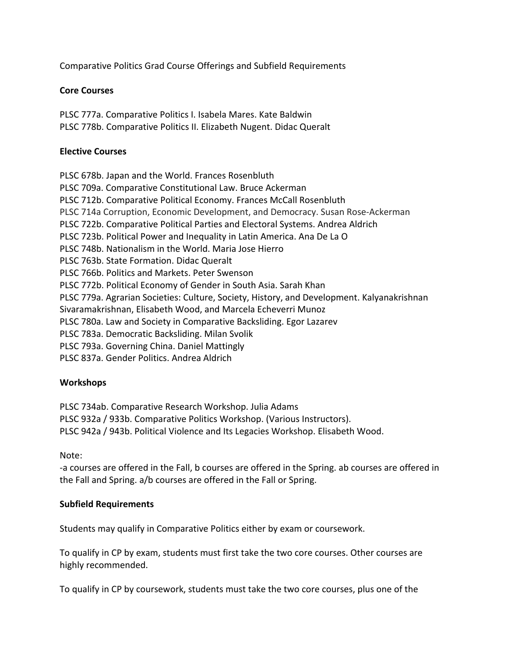Comparative Politics Grad Course Offerings and Subfield Requirements

## **Core Courses**

PLSC 777a. Comparative Politics I. Isabela Mares. Kate Baldwin PLSC 778b. Comparative Politics II. Elizabeth Nugent. Didac Queralt

## **Elective Courses**

PLSC 678b. Japan and the World. Frances Rosenbluth PLSC 709a. Comparative Constitutional Law. Bruce Ackerman PLSC 712b. Comparative Political Economy. Frances McCall Rosenbluth PLSC 714a Corruption, Economic Development, and Democracy. Susan Rose‐Ackerman PLSC 722b. Comparative Political Parties and Electoral Systems. Andrea Aldrich PLSC 723b. Political Power and Inequality in Latin America. Ana De La O PLSC 748b. Nationalism in the World. Maria Jose Hierro PLSC 763b. State Formation. Didac Queralt PLSC 766b. Politics and Markets. Peter Swenson PLSC 772b. Political Economy of Gender in South Asia. Sarah Khan PLSC 779a. Agrarian Societies: Culture, Society, History, and Development. Kalyanakrishnan Sivaramakrishnan, Elisabeth Wood, and Marcela Echeverri Munoz PLSC 780a. Law and Society in Comparative Backsliding. Egor Lazarev PLSC 783a. Democratic Backsliding. Milan Svolik PLSC 793a. Governing China. Daniel Mattingly PLSC 837a. Gender Politics. Andrea Aldrich

## **Workshops**

PLSC 734ab. Comparative Research Workshop. Julia Adams

PLSC 932a / 933b. Comparative Politics Workshop. (Various Instructors).

PLSC 942a / 943b. Political Violence and Its Legacies Workshop. Elisabeth Wood.

Note:

‐a courses are offered in the Fall, b courses are offered in the Spring. ab courses are offered in the Fall and Spring. a/b courses are offered in the Fall or Spring.

## **Subfield Requirements**

Students may qualify in Comparative Politics either by exam or coursework.

To qualify in CP by exam, students must first take the two core courses. Other courses are highly recommended.

To qualify in CP by coursework, students must take the two core courses, plus one of the